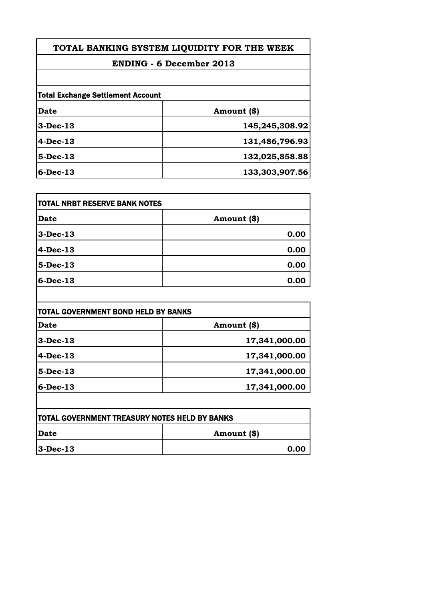# **TOTAL BANKING SYSTEM LIQUIDITY FOR THE WEEK**

# **ENDING - 6 December 2013**

| <b>Total Exchange Settlement Account</b> |                |
|------------------------------------------|----------------|
| Date                                     | Amount (\$)    |
| $3-Dec-13$                               | 145,245,308.92 |
| $4-Dec-13$                               | 131,486,796.93 |
| $5-Dec-13$                               | 132,025,858.88 |
| $6$ -Dec-13                              | 133,303,907.56 |

| <b>TOTAL NRBT RESERVE BANK NOTES</b> |             |
|--------------------------------------|-------------|
| <b>Date</b>                          | Amount (\$) |
| $3-Dec-13$                           | 0.00        |
| $4-Dec-13$                           | 0.00        |
| $5-Dec-13$                           | 0.00        |
| $6$ -Dec-13                          | 0.00        |

| <b>Date</b> | Amount (\$)   |
|-------------|---------------|
| $3-Dec-13$  | 17,341,000.00 |
| $4-Dec-13$  | 17,341,000.00 |
| $5-Dec-13$  | 17,341,000.00 |
| $6$ -Dec-13 | 17,341,000.00 |

| <b>TOTAL GOVERNMENT TREASURY NOTES HELD BY BANKS</b> |             |
|------------------------------------------------------|-------------|
| <b>IDate</b>                                         | Amount (\$) |
| $ 3-Dec-13 $                                         | 0.00        |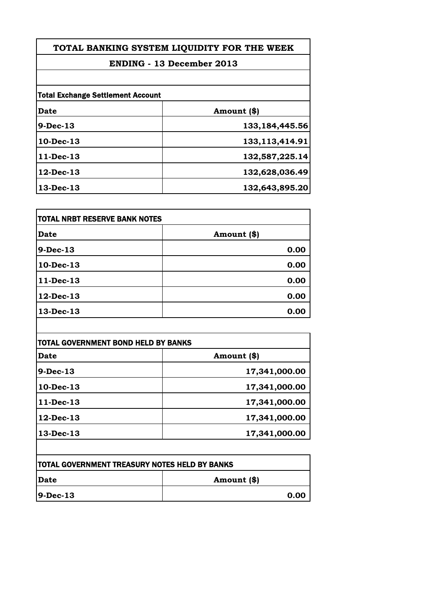# **TOTAL BANKING SYSTEM LIQUIDITY FOR THE WEEK**

# **ENDING - 13 December 2013**

| <b>Total Exchange Settlement Account</b> |                   |
|------------------------------------------|-------------------|
| Date                                     | Amount (\$)       |
| $9-Dec-13$                               | 133, 184, 445.56  |
| 10-Dec-13                                | 133, 113, 414. 91 |
| 11-Dec-13                                | 132,587,225.14    |
| $12$ -Dec-13                             | 132,628,036.49    |
| 13-Dec-13                                | 132,643,895.20    |

| Date<br>Amount (\$) | TOTAL NRBT RESERVE BANK NOTES |  |
|---------------------|-------------------------------|--|
|                     |                               |  |
| 9-Dec-13            | 0.00                          |  |
| $10$ -Dec-13        | 0.00                          |  |
| 11-Dec-13           | 0.00                          |  |
| $12$ -Dec-13        | 0.00                          |  |
| 13-Dec-13           | 0.00                          |  |

 $\overline{\phantom{a}}$ 

| Date       | Amount (\$)   |
|------------|---------------|
| $9-Dec-13$ | 17,341,000.00 |
| 10-Dec-13  | 17,341,000.00 |
| 11-Dec-13  | 17,341,000.00 |
| 12-Dec-13  | 17,341,000.00 |
| 13-Dec-13  | 17,341,000.00 |

| <b>TOTAL GOVERNMENT TREASURY NOTES HELD BY BANKS</b> |             |
|------------------------------------------------------|-------------|
| <b>IDate</b>                                         | Amount (\$) |
| $ 9-Dec-13 $                                         | 0.00        |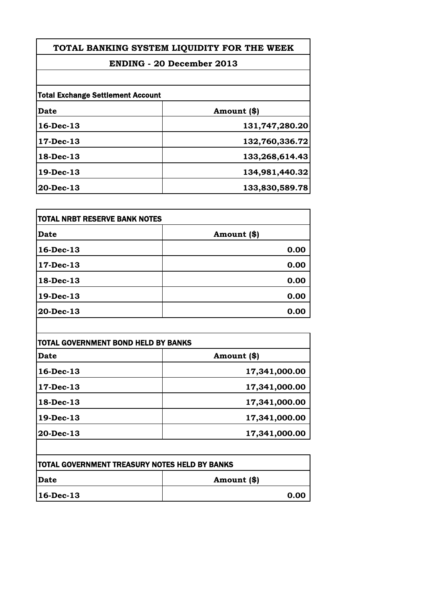# **TOTAL BANKING SYSTEM LIQUIDITY FOR THE WEEK**

# **ENDING - 20 December 2013**

| <b>Total Exchange Settlement Account</b> |                |
|------------------------------------------|----------------|
| Date                                     | Amount (\$)    |
| 16-Dec-13                                | 131,747,280.20 |
| 17-Dec-13                                | 132,760,336.72 |
| 18-Dec-13                                | 133,268,614.43 |
| 19-Dec-13                                | 134,981,440.32 |
| $20$ -Dec-13                             | 133,830,589.78 |

| TOTAL NRBT RESERVE BANK NOTES |             |
|-------------------------------|-------------|
| Date                          | Amount (\$) |
| $16$ -Dec-13                  | 0.00        |
| $17 - Dec-13$                 | 0.00        |
| 18-Dec-13                     | 0.00        |
| 19-Dec-13                     | 0.00        |
| 20-Dec-13                     | 0.00        |
|                               |             |

| Date         | Amount (\$)   |
|--------------|---------------|
| 16-Dec-13    | 17,341,000.00 |
| 17-Dec-13    | 17,341,000.00 |
| 18-Dec-13    | 17,341,000.00 |
| 19-Dec-13    | 17,341,000.00 |
| $20$ -Dec-13 | 17,341,000.00 |

| <b>TOTAL GOVERNMENT TREASURY NOTES HELD BY BANKS</b> |             |
|------------------------------------------------------|-------------|
| <b>IDate</b>                                         | Amount (\$) |
| $ 16 - Dec - 13 $                                    | 0.00        |